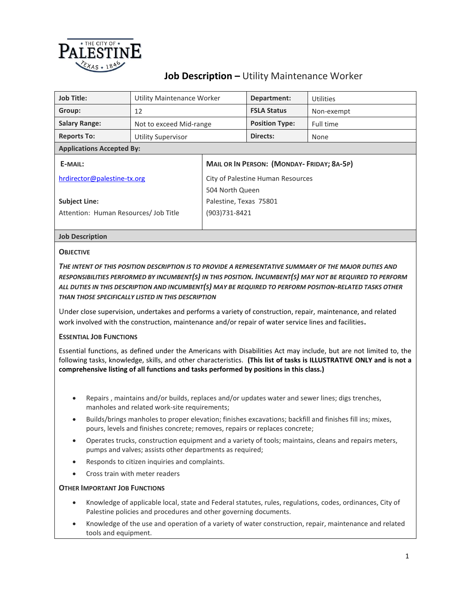

# **Job Description –** Utility Maintenance Worker

| <b>Job Title:</b>                     | Utility Maintenance Worker |                                                  | Department:           | Utilities  |  |
|---------------------------------------|----------------------------|--------------------------------------------------|-----------------------|------------|--|
| Group:                                | 12                         |                                                  | <b>FSLA Status</b>    | Non-exempt |  |
| <b>Salary Range:</b>                  | Not to exceed Mid-range    |                                                  | <b>Position Type:</b> | Full time  |  |
| <b>Reports To:</b>                    | <b>Utility Supervisor</b>  |                                                  | Directs:              | None       |  |
| <b>Applications Accepted By:</b>      |                            |                                                  |                       |            |  |
| E-MAIL:                               |                            | <b>MAIL OR IN PERSON: (MONDAY-FRIDAY; 8A-5P)</b> |                       |            |  |
| hrdirector@palestine-tx.org           |                            | City of Palestine Human Resources                |                       |            |  |
|                                       |                            | 504 North Queen                                  |                       |            |  |
| <b>Subject Line:</b>                  |                            | Palestine, Texas 75801                           |                       |            |  |
| Attention: Human Resources/ Job Title |                            | (903)731-8421                                    |                       |            |  |
|                                       |                            |                                                  |                       |            |  |
| <b>Job Description</b>                |                            |                                                  |                       |            |  |
|                                       |                            |                                                  |                       |            |  |

# **OBJECTIVE**

*THE INTENT OF THIS POSITION DESCRIPTION IS TO PROVIDE A REPRESENTATIVE SUMMARY OF THE MAJOR DUTIES AND RESPONSIBILITIES PERFORMED BY INCUMBENT(S) IN THIS POSITION. INCUMBENT(S) MAY NOT BE REQUIRED TO PERFORM ALL DUTIES IN THIS DESCRIPTION AND INCUMBENT(S) MAY BE REQUIRED TO PERFORM POSITION-RELATED TASKS OTHER THAN THOSE SPECIFICALLY LISTED IN THIS DESCRIPTION*

Under close supervision, undertakes and performs a variety of construction, repair, maintenance, and related work involved with the construction, maintenance and/or repair of water service lines and facilities**.**

# **ESSENTIAL JOB FUNCTIONS**

Essential functions, as defined under the Americans with Disabilities Act may include, but are not limited to, the following tasks, knowledge, skills, and other characteristics. **(This list of tasks is ILLUSTRATIVE ONLY and is not a comprehensive listing of all functions and tasks performed by positions in this class.)**

- Repairs , maintains and/or builds, replaces and/or updates water and sewer lines; digs trenches, manholes and related work-site requirements;
- Builds/brings manholes to proper elevation; finishes excavations; backfill and finishes fill ins; mixes, pours, levels and finishes concrete; removes, repairs or replaces concrete;
- Operates trucks, construction equipment and a variety of tools; maintains, cleans and repairs meters, pumps and valves; assists other departments as required;
- Responds to citizen inquiries and complaints.
- Cross train with meter readers

# **OTHER IMPORTANT JOB FUNCTIONS**

- Knowledge of applicable local, state and Federal statutes, rules, regulations, codes, ordinances, City of Palestine policies and procedures and other governing documents.
- Knowledge of the use and operation of a variety of water construction, repair, maintenance and related tools and equipment.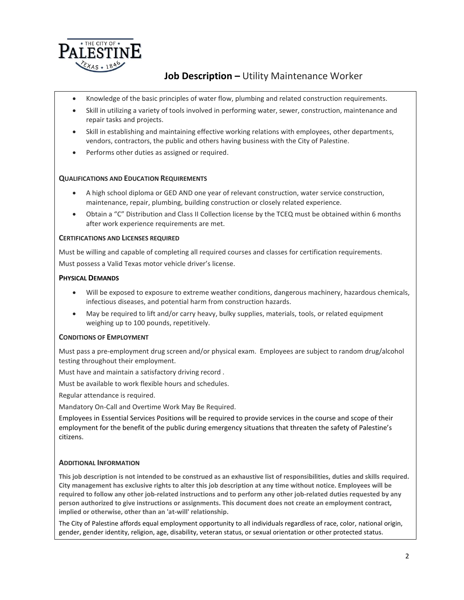

# **Job Description –** Utility Maintenance Worker

- Knowledge of the basic principles of water flow, plumbing and related construction requirements.
- Skill in utilizing a variety of tools involved in performing water, sewer, construction, maintenance and repair tasks and projects.
- Skill in establishing and maintaining effective working relations with employees, other departments, vendors, contractors, the public and others having business with the City of Palestine.
- Performs other duties as assigned or required.

## **QUALIFICATIONS AND EDUCATION REQUIREMENTS**

- A high school diploma or GED AND one year of relevant construction, water service construction, maintenance, repair, plumbing, building construction or closely related experience.
- Obtain a "C" Distribution and Class II Collection license by the TCEQ must be obtained within 6 months after work experience requirements are met.

#### **CERTIFICATIONS AND LICENSES REQUIRED**

Must be willing and capable of completing all required courses and classes for certification requirements. Must possess a Valid Texas motor vehicle driver's license.

## **PHYSICAL DEMANDS**

- Will be exposed to exposure to extreme weather conditions, dangerous machinery, hazardous chemicals, infectious diseases, and potential harm from construction hazards.
- May be required to lift and/or carry heavy, bulky supplies, materials, tools, or related equipment weighing up to 100 pounds, repetitively.

# **CONDITIONS OF EMPLOYMENT**

Must pass a pre-employment drug screen and/or physical exam. Employees are subject to random drug/alcohol testing throughout their employment.

Must have and maintain a satisfactory driving record .

Must be available to work flexible hours and schedules.

Regular attendance is required.

Mandatory On-Call and Overtime Work May Be Required.

Employees in Essential Services Positions will be required to provide services in the course and scope of their employment for the benefit of the public during emergency situations that threaten the safety of Palestine's citizens.

# **ADDITIONAL INFORMATION**

**This job description is not intended to be construed as an exhaustive list of responsibilities, duties and skills required. City management has exclusive rights to alter this job description at any time without notice. Employees will be required to follow any other job-related instructions and to perform any other job-related duties requested by any person authorized to give instructions or assignments. This document does not create an employment contract, implied or otherwise, other than an 'at-will' relationship.**

The City of Palestine affords equal employment opportunity to all individuals regardless of race, color, national origin, gender, gender identity, religion, age, disability, veteran status, or sexual orientation or other protected status.